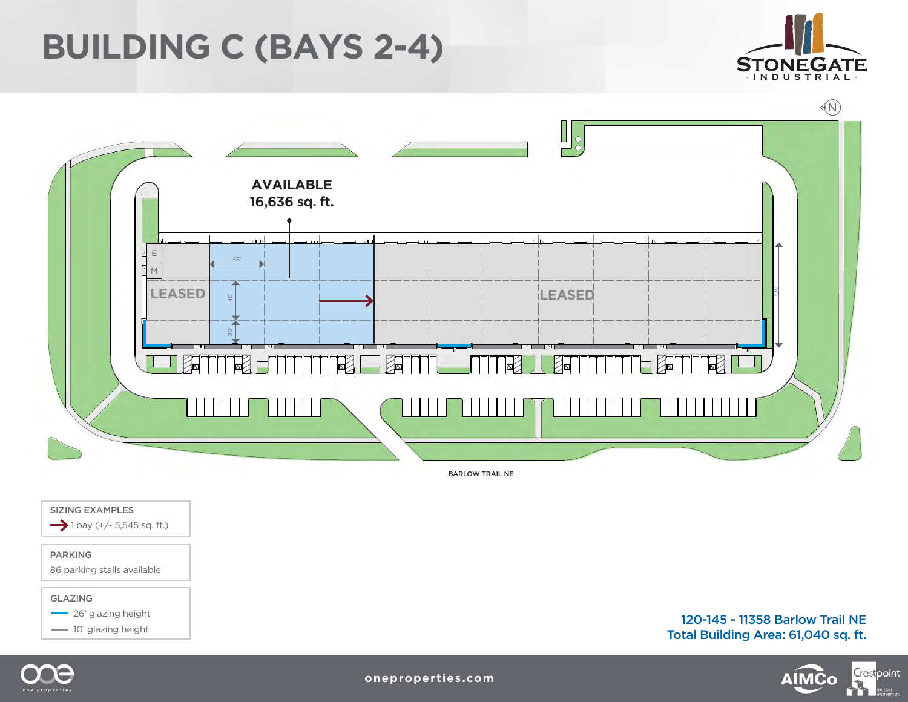## **BUILDING C (BAYS 2-4)**





BARLOW TRAIL NE

SIZING EXAMPLES  $\rightarrow$  1 bay (+/- 5,545 sq. ft.)

### PARKING

86 parking stalls available

#### GLAZING

**26' glazing height** 

10' glazing height

120-145 - 11358 Barlow Trail NE Total Building Area: 61,040 sq. ft.

**AIMCo** 

Crestpoint



**oneproperties.com**